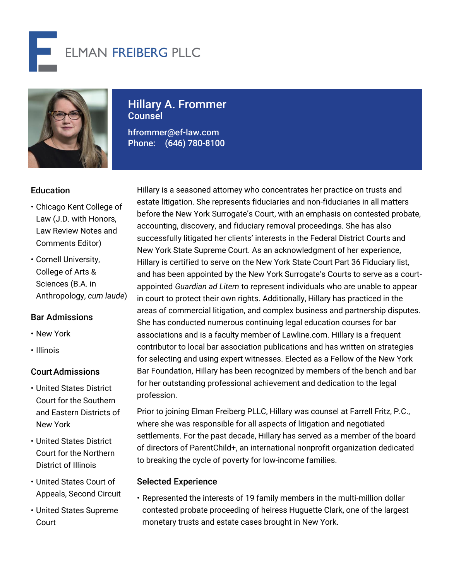



# Hillary A. Frommer Counsel

hfrommer@ef-law.com Phone: (646) 780-8100

# **Education**

- Chicago Kent College of Law (J.D. with Honors, Law Review Notes and Comments Editor)
- Cornell University, College of Arts & Sciences (B.A. in Anthropology, *cum laude*)

# Bar Admissions

- New York
- Illinois

## CourtAdmissions

- United States District Court for the Southern and Eastern Districts of New York
- United States District Court for the Northern District of Illinois
- United States Court of Appeals, Second Circuit
- United States Supreme Court

Hillary is a seasoned attorney who concentrates her practice on trusts and estate litigation. She represents fiduciaries and non-fiduciaries in all matters before the New York Surrogate's Court, with an emphasis on contested probate, accounting, discovery, and fiduciary removal proceedings. She has also successfully litigated her clients' interests in the Federal District Courts and New York State Supreme Court. As an acknowledgment of her experience, Hillary is certified to serve on the New York State Court Part 36 Fiduciary list, and has been appointed by the New York Surrogate's Courts to serve as a courtappointed *Guardian ad Litem* to represent individuals who are unable to appear in court to protect their own rights. Additionally, Hillary has practiced in the areas of commercial litigation, and complex business and partnership disputes. She has conducted numerous continuing legal education courses for bar associations and is a faculty member of Lawline.com. Hillary is a frequent contributor to local bar association publications and has written on strategies for selecting and using expert witnesses. Elected as a Fellow of the New York Bar Foundation, Hillary has been recognized by members of the bench and bar for her outstanding professional achievement and dedication to the legal profession.

Prior to joining Elman Freiberg PLLC, Hillary was counsel at Farrell Fritz, P.C., where she was responsible for all aspects of litigation and negotiated settlements. For the past decade, Hillary has served as a member of the board of directors of ParentChild+, an international nonprofit organization dedicated to breaking the cycle of poverty for low-income families.

## Selected Experience

• Represented the interests of 19 family members in the multi-million dollar contested probate proceeding of heiress Huguette Clark, one of the largest monetary trusts and estate cases brought in New York.